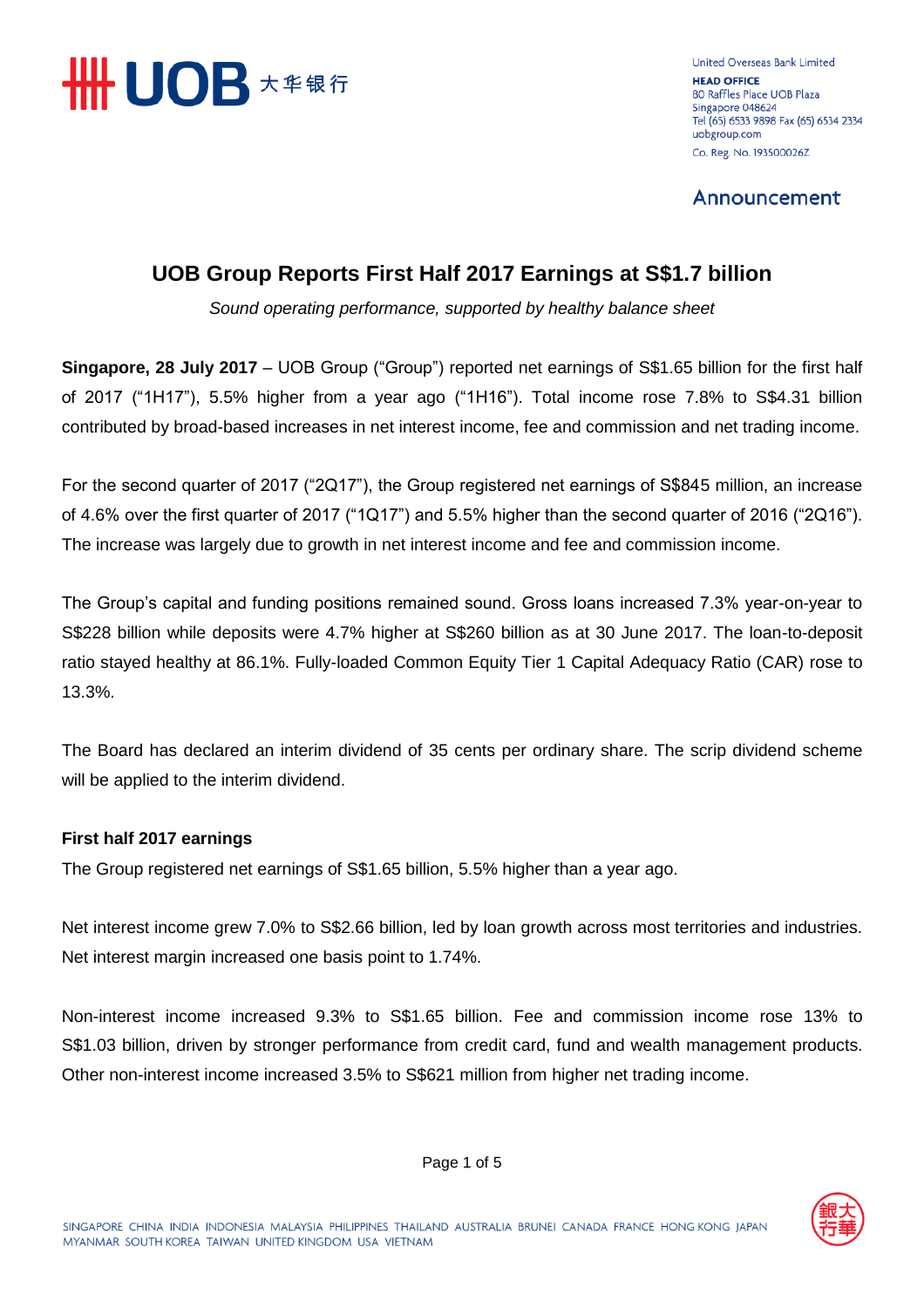

United Overseas Bank Limited **HEAD OFFICE** 80 Raffles Place UOB Plaza Singapore 048624 Tel (65) 6533 9898 Fax (65) 6534 2334 uobgroup.com Co. Reg. No. 193500026Z

Announcement

# **UOB Group Reports First Half 2017 Earnings at S\$1.7 billion**

*Sound operating performance, supported by healthy balance sheet*

**Singapore, 28 July 2017** – UOB Group ("Group") reported net earnings of S\$1.65 billion for the first half of 2017 ("1H17"), 5.5% higher from a year ago ("1H16"). Total income rose 7.8% to S\$4.31 billion contributed by broad-based increases in net interest income, fee and commission and net trading income.

For the second quarter of 2017 ("2Q17"), the Group registered net earnings of S\$845 million, an increase of 4.6% over the first quarter of 2017 ("1Q17") and 5.5% higher than the second quarter of 2016 ("2Q16"). The increase was largely due to growth in net interest income and fee and commission income.

The Group's capital and funding positions remained sound. Gross loans increased 7.3% year-on-year to S\$228 billion while deposits were 4.7% higher at S\$260 billion as at 30 June 2017. The loan-to-deposit ratio stayed healthy at 86.1%. Fully-loaded Common Equity Tier 1 Capital Adequacy Ratio (CAR) rose to 13.3%.

The Board has declared an interim dividend of 35 cents per ordinary share. The scrip dividend scheme will be applied to the interim dividend.

# **First half 2017 earnings**

The Group registered net earnings of S\$1.65 billion, 5.5% higher than a year ago.

Net interest income grew 7.0% to S\$2.66 billion, led by loan growth across most territories and industries. Net interest margin increased one basis point to 1.74%.

Non-interest income increased 9.3% to S\$1.65 billion. Fee and commission income rose 13% to S\$1.03 billion, driven by stronger performance from credit card, fund and wealth management products. Other non-interest income increased 3.5% to S\$621 million from higher net trading income.

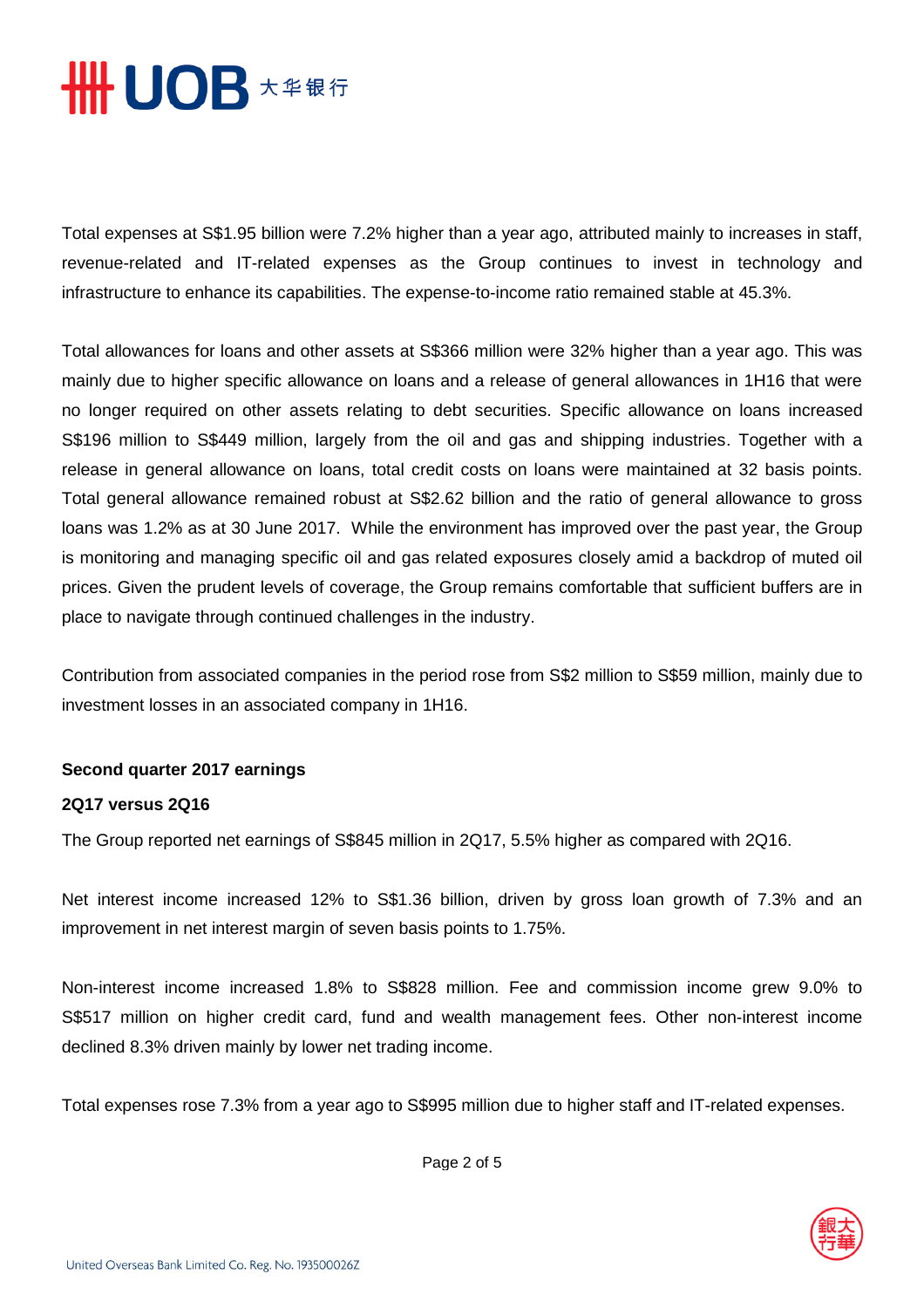

Total expenses at S\$1.95 billion were 7.2% higher than a year ago, attributed mainly to increases in staff, revenue-related and IT-related expenses as the Group continues to invest in technology and infrastructure to enhance its capabilities. The expense-to-income ratio remained stable at 45.3%.

Total allowances for loans and other assets at S\$366 million were 32% higher than a year ago. This was mainly due to higher specific allowance on loans and a release of general allowances in 1H16 that were no longer required on other assets relating to debt securities. Specific allowance on loans increased S\$196 million to S\$449 million, largely from the oil and gas and shipping industries. Together with a release in general allowance on loans, total credit costs on loans were maintained at 32 basis points. Total general allowance remained robust at S\$2.62 billion and the ratio of general allowance to gross loans was 1.2% as at 30 June 2017. While the environment has improved over the past year, the Group is monitoring and managing specific oil and gas related exposures closely amid a backdrop of muted oil prices. Given the prudent levels of coverage, the Group remains comfortable that sufficient buffers are in place to navigate through continued challenges in the industry.

Contribution from associated companies in the period rose from S\$2 million to S\$59 million, mainly due to investment losses in an associated company in 1H16.

#### **Second quarter 2017 earnings**

#### **2Q17 versus 2Q16**

The Group reported net earnings of S\$845 million in 2Q17, 5.5% higher as compared with 2Q16.

Net interest income increased 12% to S\$1.36 billion, driven by gross loan growth of 7.3% and an improvement in net interest margin of seven basis points to 1.75%.

Non-interest income increased 1.8% to S\$828 million. Fee and commission income grew 9.0% to S\$517 million on higher credit card, fund and wealth management fees. Other non-interest income declined 8.3% driven mainly by lower net trading income.

Total expenses rose 7.3% from a year ago to S\$995 million due to higher staff and IT-related expenses.

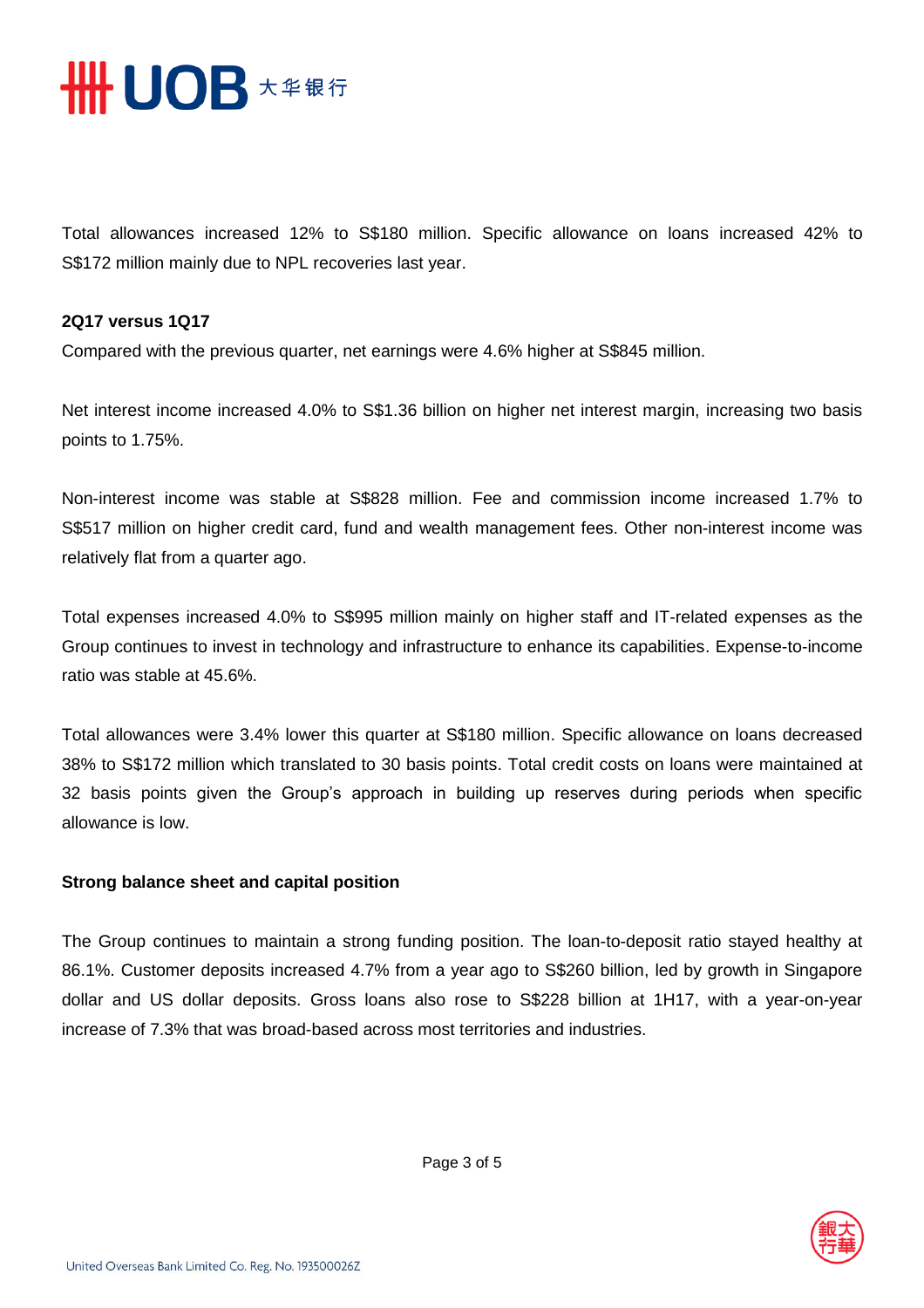

Total allowances increased 12% to S\$180 million. Specific allowance on loans increased 42% to S\$172 million mainly due to NPL recoveries last year.

#### **2Q17 versus 1Q17**

Compared with the previous quarter, net earnings were 4.6% higher at S\$845 million.

Net interest income increased 4.0% to S\$1.36 billion on higher net interest margin, increasing two basis points to 1.75%.

Non-interest income was stable at S\$828 million. Fee and commission income increased 1.7% to S\$517 million on higher credit card, fund and wealth management fees. Other non-interest income was relatively flat from a quarter ago.

Total expenses increased 4.0% to S\$995 million mainly on higher staff and IT-related expenses as the Group continues to invest in technology and infrastructure to enhance its capabilities. Expense-to-income ratio was stable at 45.6%.

Total allowances were 3.4% lower this quarter at S\$180 million. Specific allowance on loans decreased 38% to S\$172 million which translated to 30 basis points. Total credit costs on loans were maintained at 32 basis points given the Group's approach in building up reserves during periods when specific allowance is low.

## **Strong balance sheet and capital position**

The Group continues to maintain a strong funding position. The loan-to-deposit ratio stayed healthy at 86.1%. Customer deposits increased 4.7% from a year ago to S\$260 billion, led by growth in Singapore dollar and US dollar deposits. Gross loans also rose to S\$228 billion at 1H17, with a year-on-year increase of 7.3% that was broad-based across most territories and industries.

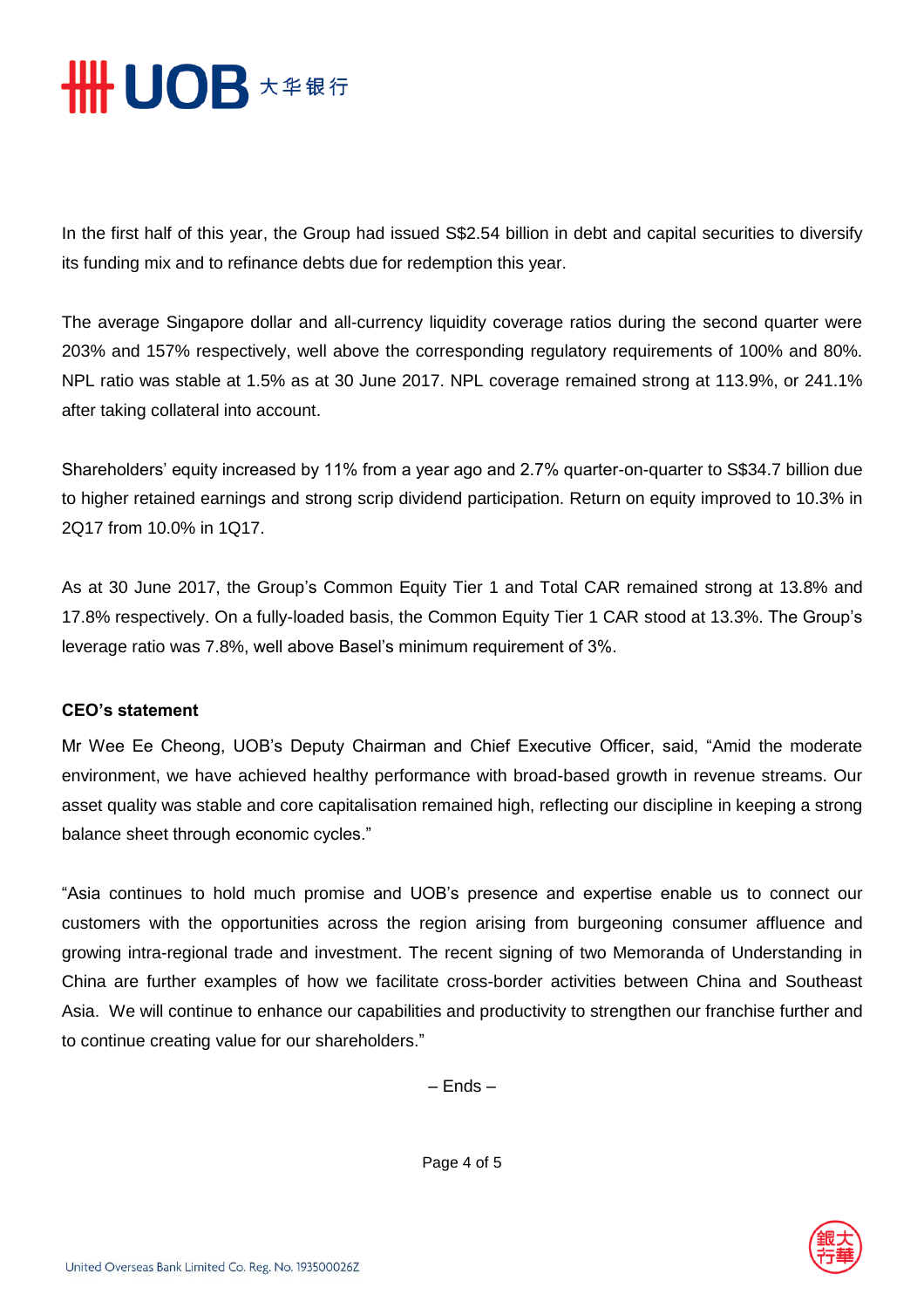

In the first half of this year, the Group had issued S\$2.54 billion in debt and capital securities to diversify its funding mix and to refinance debts due for redemption this year.

The average Singapore dollar and all-currency liquidity coverage ratios during the second quarter were 203% and 157% respectively, well above the corresponding regulatory requirements of 100% and 80%. NPL ratio was stable at 1.5% as at 30 June 2017. NPL coverage remained strong at 113.9%, or 241.1% after taking collateral into account.

Shareholders' equity increased by 11% from a year ago and 2.7% quarter-on-quarter to S\$34.7 billion due to higher retained earnings and strong scrip dividend participation. Return on equity improved to 10.3% in 2Q17 from 10.0% in 1Q17.

As at 30 June 2017, the Group's Common Equity Tier 1 and Total CAR remained strong at 13.8% and 17.8% respectively. On a fully-loaded basis, the Common Equity Tier 1 CAR stood at 13.3%. The Group's leverage ratio was 7.8%, well above Basel's minimum requirement of 3%.

## **CEO's statement**

Mr Wee Ee Cheong, UOB's Deputy Chairman and Chief Executive Officer, said, "Amid the moderate environment, we have achieved healthy performance with broad-based growth in revenue streams. Our asset quality was stable and core capitalisation remained high, reflecting our discipline in keeping a strong balance sheet through economic cycles."

"Asia continues to hold much promise and UOB's presence and expertise enable us to connect our customers with the opportunities across the region arising from burgeoning consumer affluence and growing intra-regional trade and investment. The recent signing of two Memoranda of Understanding in China are further examples of how we facilitate cross-border activities between China and Southeast Asia. We will continue to enhance our capabilities and productivity to strengthen our franchise further and to continue creating value for our shareholders."

– Ends –

Page 4 of 5